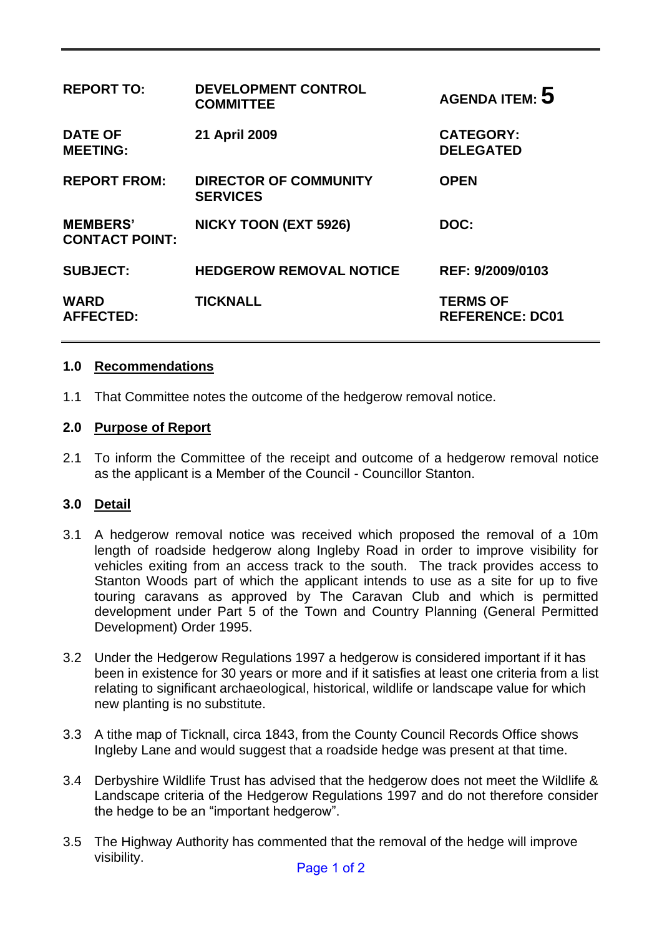| <b>REPORT TO:</b>                        | <b>DEVELOPMENT CONTROL</b><br><b>COMMITTEE</b>  | AGENDA ITEM: $5$                          |
|------------------------------------------|-------------------------------------------------|-------------------------------------------|
| <b>DATE OF</b><br><b>MEETING:</b>        | 21 April 2009                                   | <b>CATEGORY:</b><br><b>DELEGATED</b>      |
| <b>REPORT FROM:</b>                      | <b>DIRECTOR OF COMMUNITY</b><br><b>SERVICES</b> | <b>OPEN</b>                               |
| <b>MEMBERS'</b><br><b>CONTACT POINT:</b> | <b>NICKY TOON (EXT 5926)</b>                    | DOC:                                      |
| <b>SUBJECT:</b>                          | <b>HEDGEROW REMOVAL NOTICE</b>                  | REF: 9/2009/0103                          |
| <b>WARD</b><br><b>AFFECTED:</b>          | <b>TICKNALL</b>                                 | <b>TERMS OF</b><br><b>REFERENCE: DC01</b> |

#### **1.0 Recommendations**

1.1 That Committee notes the outcome of the hedgerow removal notice.

#### **2.0 Purpose of Report**

2.1 To inform the Committee of the receipt and outcome of a hedgerow removal notice as the applicant is a Member of the Council - Councillor Stanton.

#### **3.0 Detail**

- 3.1 A hedgerow removal notice was received which proposed the removal of a 10m length of roadside hedgerow along Ingleby Road in order to improve visibility for vehicles exiting from an access track to the south. The track provides access to Stanton Woods part of which the applicant intends to use as a site for up to five touring caravans as approved by The Caravan Club and which is permitted development under Part 5 of the Town and Country Planning (General Permitted Development) Order 1995.
- 3.2 Under the Hedgerow Regulations 1997 a hedgerow is considered important if it has been in existence for 30 years or more and if it satisfies at least one criteria from a list relating to significant archaeological, historical, wildlife or landscape value for which new planting is no substitute.
- 3.3 A tithe map of Ticknall, circa 1843, from the County Council Records Office shows Ingleby Lane and would suggest that a roadside hedge was present at that time.
- 3.4 Derbyshire Wildlife Trust has advised that the hedgerow does not meet the Wildlife & Landscape criteria of the Hedgerow Regulations 1997 and do not therefore consider the hedge to be an "important hedgerow".
- 3.5 The Highway Authority has commented that the removal of the hedge will improve visibility.